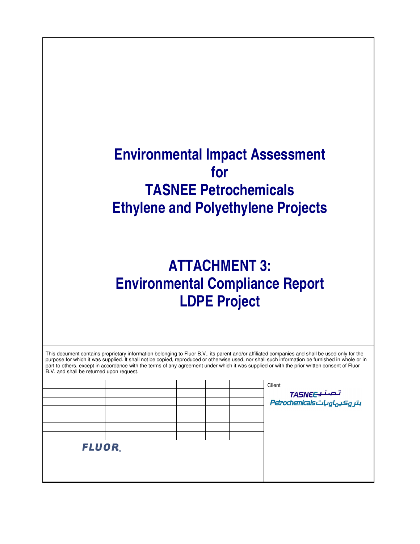## **Environmental Impact Assessment for TASNEE Petrochemicals Ethylene and Polyethylene Projects**

## **ATTACHMENT 3: Environmental Compliance Report LDPE Project**

| B.V. and shall be returned upon request. |  |  | This document contains proprietary information belonging to Fluor B.V., its parent and/or affiliated companies and shall be used only for the<br>purpose for which it was supplied. It shall not be copied, reproduced or otherwise used, nor shall such information be furnished in whole or in<br>part to others, except in accordance with the terms of any agreement under which it was supplied or with the prior written consent of Fluor |
|------------------------------------------|--|--|-------------------------------------------------------------------------------------------------------------------------------------------------------------------------------------------------------------------------------------------------------------------------------------------------------------------------------------------------------------------------------------------------------------------------------------------------|
|                                          |  |  | Client                                                                                                                                                                                                                                                                                                                                                                                                                                          |
|                                          |  |  |                                                                                                                                                                                                                                                                                                                                                                                                                                                 |
|                                          |  |  | تصنیےTASNE <del>C</del><br>بتر aکیہاویات Petrochemicals                                                                                                                                                                                                                                                                                                                                                                                         |
|                                          |  |  |                                                                                                                                                                                                                                                                                                                                                                                                                                                 |
|                                          |  |  |                                                                                                                                                                                                                                                                                                                                                                                                                                                 |
|                                          |  |  |                                                                                                                                                                                                                                                                                                                                                                                                                                                 |
|                                          |  |  |                                                                                                                                                                                                                                                                                                                                                                                                                                                 |
| FLUOR.                                   |  |  |                                                                                                                                                                                                                                                                                                                                                                                                                                                 |
|                                          |  |  |                                                                                                                                                                                                                                                                                                                                                                                                                                                 |
|                                          |  |  |                                                                                                                                                                                                                                                                                                                                                                                                                                                 |
|                                          |  |  |                                                                                                                                                                                                                                                                                                                                                                                                                                                 |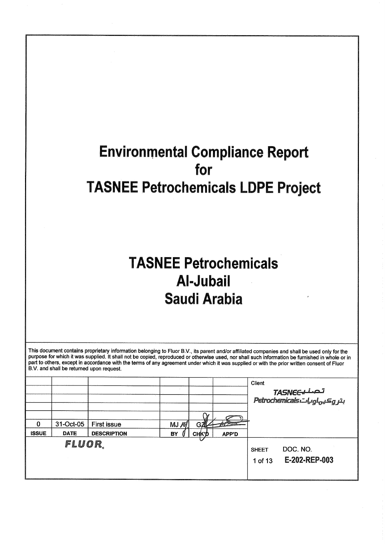# **Environmental Compliance Report** for **TASNEE Petrochemicals LDPE Project**

# **TASNEE Petrochemicals Al-Jubail Saudi Arabia**

This document contains proprietary information belonging to Fluor B.V., its parent and/or affiliated companies and shall be used only for the purpose for which it was supplied. It shall not be copied, reproduced or otherwi part to others, except in accordance with the terms of any agreement under which it was supplied or with the prior written consent of Fluor B.V. and shall be returned upon request.

|              |                          |                                          |            |                              |                                     | Client                  | تصطبحTASNE<br>بترویکیهای Petrochemicals |
|--------------|--------------------------|------------------------------------------|------------|------------------------------|-------------------------------------|-------------------------|-----------------------------------------|
| <b>ISSUE</b> | 31-Oct-05<br><b>DATE</b> | <b>First issue</b><br><b>DESCRIPTION</b> | MJ/M<br>BY | $G\mathbb{Z}$<br><b>CHKP</b> | <b>And Security</b><br><b>APP'D</b> |                         |                                         |
|              | fluor.                   |                                          |            |                              |                                     | <b>SHEET</b><br>1 of 13 | DOC. NO.<br>E-202-REP-003               |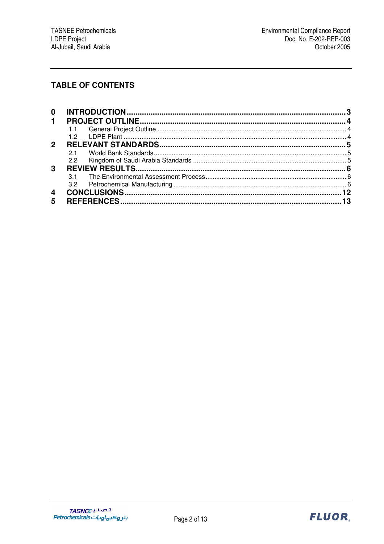## **TABLE OF CONTENTS**

| 12  |  |
|-----|--|
|     |  |
| 21  |  |
| 2.2 |  |
|     |  |
|     |  |
| 3.2 |  |
|     |  |
|     |  |
|     |  |

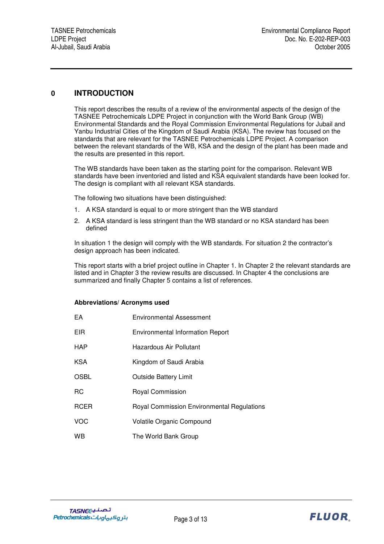## **0 INTRODUCTION**

This report describes the results of a review of the environmental aspects of the design of the TASNEE Petrochemicals LDPE Project in conjunction with the World Bank Group (WB) Environmental Standards and the Royal Commission Environmental Regulations for Jubail and Yanbu Industrial Cities of the Kingdom of Saudi Arabia (KSA). The review has focused on the standards that are relevant for the TASNEE Petrochemicals LDPE Project. A comparison between the relevant standards of the WB, KSA and the design of the plant has been made and the results are presented in this report.

The WB standards have been taken as the starting point for the comparison. Relevant WB standards have been inventoried and listed and KSA equivalent standards have been looked for. The design is compliant with all relevant KSA standards.

The following two situations have been distinguished:

- 1. A KSA standard is equal to or more stringent than the WB standard
- 2. A KSA standard is less stringent than the WB standard or no KSA standard has been defined

In situation 1 the design will comply with the WB standards. For situation 2 the contractor's design approach has been indicated.

This report starts with a brief project outline in Chapter 1. In Chapter 2 the relevant standards are listed and in Chapter 3 the review results are discussed. In Chapter 4 the conclusions are summarized and finally Chapter 5 contains a list of references.

#### **Abbreviations/ Acronyms used**

| EA          | <b>Environmental Assessment</b>                   |
|-------------|---------------------------------------------------|
| <b>EIR</b>  | <b>Environmental Information Report</b>           |
| <b>HAP</b>  | Hazardous Air Pollutant                           |
| <b>KSA</b>  | Kingdom of Saudi Arabia                           |
| <b>OSBL</b> | <b>Outside Battery Limit</b>                      |
| <b>RC</b>   | Royal Commission                                  |
| <b>RCER</b> | <b>Royal Commission Environmental Regulations</b> |
| <b>VOC</b>  | <b>Volatile Organic Compound</b>                  |
| <b>WB</b>   | The World Bank Group                              |

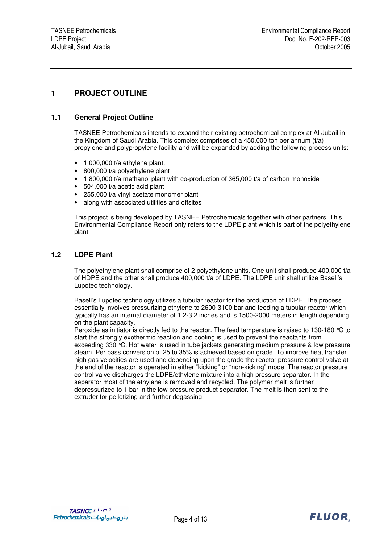## **1 PROJECT OUTLINE**

## **1.1 General Project Outline**

TASNEE Petrochemicals intends to expand their existing petrochemical complex at Al-Jubail in the Kingdom of Saudi Arabia. This complex comprises of a 450,000 ton per annum (t/a) propylene and polypropylene facility and will be expanded by adding the following process units:

- $\bullet$  1,000,000 t/a ethylene plant,
- 800,000 t/a polyethylene plant
- 1,800,000 t/a methanol plant with co-production of 365,000 t/a of carbon monoxide
- 504,000 t/a acetic acid plant
- 255,000 t/a vinyl acetate monomer plant
- along with associated utilities and offsites

This project is being developed by TASNEE Petrochemicals together with other partners. This Environmental Compliance Report only refers to the LDPE plant which is part of the polyethylene plant.

#### **1.2 LDPE Plant**

The polyethylene plant shall comprise of 2 polyethylene units. One unit shall produce 400,000 t/a of HDPE and the other shall produce 400,000 t/a of LDPE. The LDPE unit shall utilize Basell's Lupotec technology.

Basell's Lupotec technology utilizes a tubular reactor for the production of LDPE. The process essentially involves pressurizing ethylene to 2600-3100 bar and feeding a tubular reactor which typically has an internal diameter of 1.2-3.2 inches and is 1500-2000 meters in length depending on the plant capacity.

Peroxide as initiator is directly fed to the reactor. The feed temperature is raised to 130-180 °C to start the strongly exothermic reaction and cooling is used to prevent the reactants from exceeding 330 °C. Hot water is used in tube jackets generating medium pressure & low pressure steam. Per pass conversion of 25 to 35% is achieved based on grade. To improve heat transfer high gas velocities are used and depending upon the grade the reactor pressure control valve at the end of the reactor is operated in either "kicking" or "non-kicking" mode. The reactor pressure control valve discharges the LDPE/ethylene mixture into a high pressure separator. In the separator most of the ethylene is removed and recycled. The polymer melt is further depressurized to 1 bar in the low pressure product separator. The melt is then sent to the extruder for pelletizing and further degassing.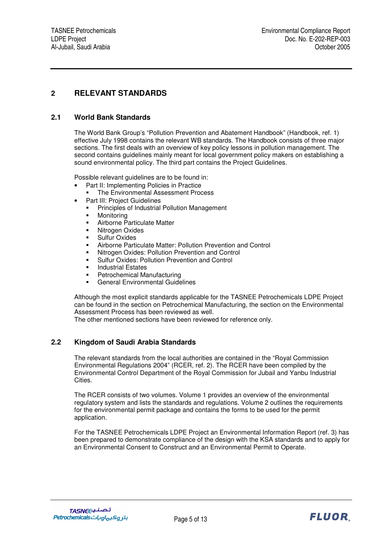## **2 RELEVANT STANDARDS**

## **2.1 World Bank Standards**

The World Bank Group's "Pollution Prevention and Abatement Handbook" (Handbook, ref. 1) effective July 1998 contains the relevant WB standards. The Handbook consists of three major sections. The first deals with an overview of key policy lessons in pollution management. The second contains guidelines mainly meant for local government policy makers on establishing a sound environmental policy. The third part contains the Project Guidelines.

Possible relevant guidelines are to be found in:

- Part II: Implementing Policies in Practice
	- The Environmental Assessment Process
	- Part III: Project Guidelines
		- **Principles of Industrial Pollution Management**
		- **•** Monitoring
	- Airborne Particulate Matter
	- Nitrogen Oxides
	- **Sulfur Oxides**
	- Airborne Particulate Matter: Pollution Prevention and Control
	- Nitrogen Oxides: Pollution Prevention and Control
	- Sulfur Oxides: Pollution Prevention and Control
	- Industrial Estates
	- Petrochemical Manufacturing
	- General Environmental Guidelines

Although the most explicit standards applicable for the TASNEE Petrochemicals LDPE Project can be found in the section on Petrochemical Manufacturing, the section on the Environmental Assessment Process has been reviewed as well.

The other mentioned sections have been reviewed for reference only.

## **2.2 Kingdom of Saudi Arabia Standards**

The relevant standards from the local authorities are contained in the "Royal Commission Environmental Regulations 2004" (RCER, ref. 2). The RCER have been compiled by the Environmental Control Department of the Royal Commission for Jubail and Yanbu Industrial Cities.

The RCER consists of two volumes. Volume 1 provides an overview of the environmental regulatory system and lists the standards and regulations. Volume 2 outlines the requirements for the environmental permit package and contains the forms to be used for the permit application.

For the TASNEE Petrochemicals LDPE Project an Environmental Information Report (ref. 3) has been prepared to demonstrate compliance of the design with the KSA standards and to apply for an Environmental Consent to Construct and an Environmental Permit to Operate.

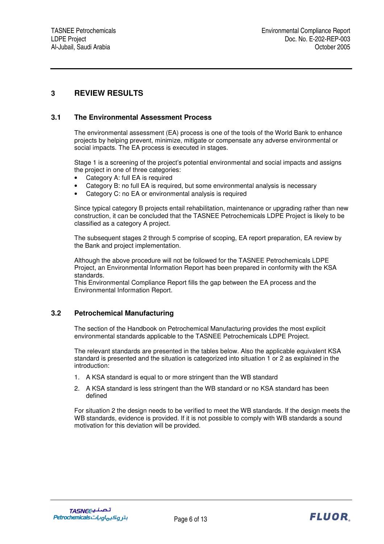## **3 REVIEW RESULTS**

## **3.1 The Environmental Assessment Process**

The environmental assessment (EA) process is one of the tools of the World Bank to enhance projects by helping prevent, minimize, mitigate or compensate any adverse environmental or social impacts. The EA process is executed in stages.

Stage 1 is a screening of the project's potential environmental and social impacts and assigns the project in one of three categories:

- Category A: full EA is required
- Category B: no full EA is required, but some environmental analysis is necessary
- Category C: no EA or environmental analysis is required

Since typical category B projects entail rehabilitation, maintenance or upgrading rather than new construction, it can be concluded that the TASNEE Petrochemicals LDPE Project is likely to be classified as a category A project.

The subsequent stages 2 through 5 comprise of scoping, EA report preparation, EA review by the Bank and project implementation.

Although the above procedure will not be followed for the TASNEE Petrochemicals LDPE Project, an Environmental Information Report has been prepared in conformity with the KSA standards.

This Environmental Compliance Report fills the gap between the EA process and the Environmental Information Report.

## **3.2 Petrochemical Manufacturing**

The section of the Handbook on Petrochemical Manufacturing provides the most explicit environmental standards applicable to the TASNEE Petrochemicals LDPE Project.

The relevant standards are presented in the tables below. Also the applicable equivalent KSA standard is presented and the situation is categorized into situation 1 or 2 as explained in the introduction:

- 1. A KSA standard is equal to or more stringent than the WB standard
- 2. A KSA standard is less stringent than the WB standard or no KSA standard has been defined

For situation 2 the design needs to be verified to meet the WB standards. If the design meets the WB standards, evidence is provided. If it is not possible to comply with WB standards a sound motivation for this deviation will be provided.

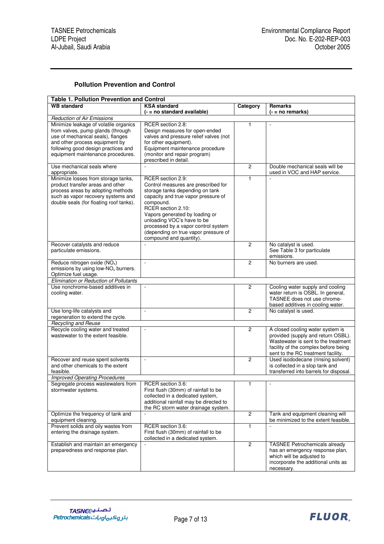## **Pollution Prevention and Control**

| <b>Table 1. Pollution Prevention and Control</b>                                                                                                                                                                              |                                                                                                                                                                                                                                                                                                                                                 |                |                                                                                                                                                                                             |  |  |  |  |
|-------------------------------------------------------------------------------------------------------------------------------------------------------------------------------------------------------------------------------|-------------------------------------------------------------------------------------------------------------------------------------------------------------------------------------------------------------------------------------------------------------------------------------------------------------------------------------------------|----------------|---------------------------------------------------------------------------------------------------------------------------------------------------------------------------------------------|--|--|--|--|
| <b>WB</b> standard                                                                                                                                                                                                            | <b>KSA</b> standard<br>(- = no standard available)                                                                                                                                                                                                                                                                                              | Category       | <b>Remarks</b><br>(- = no remarks)                                                                                                                                                          |  |  |  |  |
| <b>Reduction of Air Emissions</b>                                                                                                                                                                                             |                                                                                                                                                                                                                                                                                                                                                 |                |                                                                                                                                                                                             |  |  |  |  |
| Minimize leakage of volatile organics<br>from valves, pump glands (through<br>use of mechanical seals), flanges<br>and other process equipment by<br>following good design practices and<br>equipment maintenance procedures. | RCER section 2.8:<br>Design measures for open-ended<br>valves and pressure relief valves (not<br>for other equipment).<br>Equipment maintenance procedure<br>(monitor and repair program)<br>prescribed in detail.                                                                                                                              | 1              | $\blacksquare$                                                                                                                                                                              |  |  |  |  |
| Use mechanical seals where<br>appropriate.                                                                                                                                                                                    | $\sim$                                                                                                                                                                                                                                                                                                                                          | $\overline{c}$ | Double mechanical seals will be<br>used in VOC and HAP service.                                                                                                                             |  |  |  |  |
| Minimize losses from storage tanks,<br>product transfer areas and other<br>process areas by adopting methods<br>such as vapor recovery systems and<br>double seals (for floating roof tanks).                                 | RCER section 2.9:<br>Control measures are prescribed for<br>storage tanks depending on tank<br>capacity and true vapor pressure of<br>compound.<br>RCER section 2.10:<br>Vapors generated by loading or<br>unloading VOC's have to be<br>processed by a vapor control system<br>(depending on true vapor pressure of<br>compound and quantity). | $\mathbf{1}$   |                                                                                                                                                                                             |  |  |  |  |
| Recover catalysts and reduce<br>particulate emissions.                                                                                                                                                                        |                                                                                                                                                                                                                                                                                                                                                 | $\overline{c}$ | No catalyst is used.<br>See Table 3 for particulate<br>emissions.                                                                                                                           |  |  |  |  |
| Reduce nitrogen oxide (NO <sub>x</sub> )<br>emissions by using low- $NOx$ burners.<br>Optimize fuel usage.                                                                                                                    | $\bar{\phantom{a}}$                                                                                                                                                                                                                                                                                                                             | $\overline{c}$ | No burners are used.                                                                                                                                                                        |  |  |  |  |
| Elimination or Reduction of Pollutants                                                                                                                                                                                        |                                                                                                                                                                                                                                                                                                                                                 |                |                                                                                                                                                                                             |  |  |  |  |
| Use nonchrome-based additives in<br>cooling water.                                                                                                                                                                            | $\overline{\phantom{a}}$                                                                                                                                                                                                                                                                                                                        | $\overline{c}$ | Cooling water supply and cooling<br>water return is OSBL. In general,<br>TASNEE does not use chrome-<br>based additives in cooling water.                                                   |  |  |  |  |
| Use long-life catalysts and<br>regeneration to extend the cycle.                                                                                                                                                              | $\overline{\phantom{a}}$                                                                                                                                                                                                                                                                                                                        | $\overline{2}$ | No catalyst is used.                                                                                                                                                                        |  |  |  |  |
| <b>Recycling and Reuse</b>                                                                                                                                                                                                    |                                                                                                                                                                                                                                                                                                                                                 |                |                                                                                                                                                                                             |  |  |  |  |
| Recycle cooling water and treated<br>wastewater to the extent feasible.                                                                                                                                                       | $\overline{\phantom{a}}$                                                                                                                                                                                                                                                                                                                        | $\overline{2}$ | A closed cooling water system is<br>provided (supply and return OSBL).<br>Wastewater is sent to the treatment<br>facility of the complex before being<br>sent to the RC treatment facility. |  |  |  |  |
| Recover and reuse spent solvents<br>and other chemicals to the extent<br>feasible.                                                                                                                                            | $\overline{\phantom{a}}$                                                                                                                                                                                                                                                                                                                        | $\overline{2}$ | Used isododecane (rinsing solvent)<br>is collected in a slop tank and<br>transferred into barrels for disposal.                                                                             |  |  |  |  |
| <b>Improved Operating Procedures</b>                                                                                                                                                                                          |                                                                                                                                                                                                                                                                                                                                                 |                |                                                                                                                                                                                             |  |  |  |  |
| Segregate process wastewaters from<br>stormwater systems.                                                                                                                                                                     | RCER section 3.6:<br>First flush (30mm) of rainfall to be<br>collected in a dedicated system,<br>additional rainfall may be directed to<br>the RC storm water drainage system.                                                                                                                                                                  | 1              | $\sim$                                                                                                                                                                                      |  |  |  |  |
| Optimize the frequency of tank and<br>equipment cleaning.                                                                                                                                                                     | $\blacksquare$                                                                                                                                                                                                                                                                                                                                  | $\overline{2}$ | Tank and equipment cleaning will<br>be minimized to the extent feasible.                                                                                                                    |  |  |  |  |
| Prevent solids and oily wastes from<br>entering the drainage system.                                                                                                                                                          | RCER section 3.6:<br>First flush (30mm) of rainfall to be<br>collected in a dedicated system.                                                                                                                                                                                                                                                   | 1              |                                                                                                                                                                                             |  |  |  |  |
| Establish and maintain an emergency<br>preparedness and response plan.                                                                                                                                                        |                                                                                                                                                                                                                                                                                                                                                 | $\overline{2}$ | <b>TASNEE Petrochemicals already</b><br>has an emergency response plan,<br>which will be adjusted to<br>incorporate the additional units as<br>necessary.                                   |  |  |  |  |

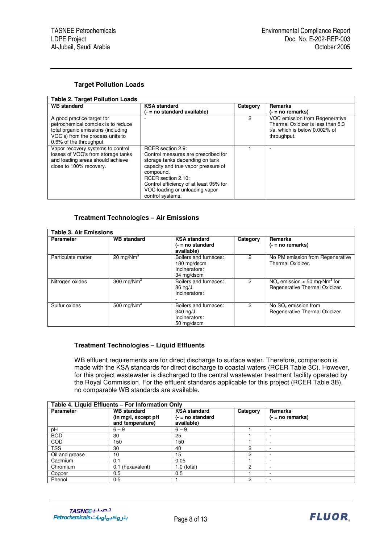#### **Target Pollution Loads**

| <b>Table 2. Target Pollution Loads</b>                                                                                                                                |                                                                                                                                                                                                                                                                       |          |                                                                                                                     |  |  |  |
|-----------------------------------------------------------------------------------------------------------------------------------------------------------------------|-----------------------------------------------------------------------------------------------------------------------------------------------------------------------------------------------------------------------------------------------------------------------|----------|---------------------------------------------------------------------------------------------------------------------|--|--|--|
| <b>WB</b> standard                                                                                                                                                    | <b>KSA standard</b><br>(- = no standard available)                                                                                                                                                                                                                    | Category | <b>Remarks</b><br>$( - = no$ remarks)                                                                               |  |  |  |
| A good practice target for<br>petrochemical complex is to reduce<br>total organic emissions (including<br>VOC's) from the process units to<br>0.6% of the throughput. |                                                                                                                                                                                                                                                                       | 2        | VOC emission from Regenerative<br>Thermal Oxidizer is less than 5.3<br>t/a, which is below 0.002% of<br>throughput. |  |  |  |
| Vapor recovery systems to control<br>losses of VOC's from storage tanks<br>and loading areas should achieve<br>close to 100% recovery.                                | RCER section 2.9:<br>Control measures are prescribed for<br>storage tanks depending on tank<br>capacity and true vapor pressure of<br>compound.<br>RCER section 2.10:<br>Control efficiency of at least 95% for<br>VOC loading or unloading vapor<br>control systems. |          |                                                                                                                     |  |  |  |

#### **Treatment Technologies – Air Emissions**

| <b>Table 3. Air Emissions</b> |                    |                                                                     |          |                                                                              |  |  |  |
|-------------------------------|--------------------|---------------------------------------------------------------------|----------|------------------------------------------------------------------------------|--|--|--|
| <b>Parameter</b>              | <b>WB</b> standard | <b>KSA</b> standard<br>$(-$ = no standard<br>available)             | Category | <b>Remarks</b><br>$(- = no$ remarks)                                         |  |  |  |
| Particulate matter            | 20 mg/ $Nm3$       | Boilers and furnaces:<br>180 mg/dscm<br>Incinerators:<br>34 mg/dscm | 2        | No PM emission from Regenerative<br>Thermal Oxidizer.                        |  |  |  |
| Nitrogen oxides               | 300 mg/ $Nm^3$     | Boilers and furnaces:<br>86 ng/J<br>Incinerators:                   | 2        | $NOx$ emission < 50 mg/Nm <sup>3</sup> for<br>Regenerative Thermal Oxidizer. |  |  |  |
| Sulfur oxides                 | 500 mg/ $Nm3$      | Boilers and furnaces:<br>340 ng/J<br>Incinerators:<br>50 mg/dscm    | 2        | No SO <sub>x</sub> emission from<br>Regenerative Thermal Oxidizer.           |  |  |  |

#### **Treatment Technologies – Liquid Effluents**

WB effluent requirements are for direct discharge to surface water. Therefore, comparison is made with the KSA standards for direct discharge to coastal waters (RCER Table 3C). However, for this project wastewater is discharged to the central wastewater treatment facility operated by the Royal Commission. For the effluent standards applicable for this project (RCER Table 3B), no comparable WB standards are available.

| Table 4. Liquid Effluents - For Information Only |                                         |                                    |          |                     |  |
|--------------------------------------------------|-----------------------------------------|------------------------------------|----------|---------------------|--|
| <b>Parameter</b>                                 | <b>WB</b> standard                      | <b>KSA</b> standard                | Category | Remarks             |  |
|                                                  | (in mg/l, except pH<br>and temperature) | $( - = no standard)$<br>available) |          | $( - = no$ remarks) |  |
| рH                                               | $6 - 9$                                 | $6 - 9$                            |          | -                   |  |
| <b>BOD</b>                                       | 30                                      | 25                                 |          | -                   |  |
| <b>COD</b>                                       | 150                                     | 150                                |          |                     |  |
| TSS                                              | 30                                      | 40                                 | າ        | -                   |  |
| Oil and grease                                   | 10                                      | 15                                 | ∩        |                     |  |
| Cadmium                                          | 0.1                                     | 0.05                               |          | -                   |  |
| Chromium                                         | (hexavalent)<br>0.1                     | 1.0 (total)                        | ◠        | -                   |  |
| Copper                                           | 0.5                                     | 0.5                                |          | ۰.                  |  |
| Phenol                                           | 0.5                                     |                                    | 2        |                     |  |

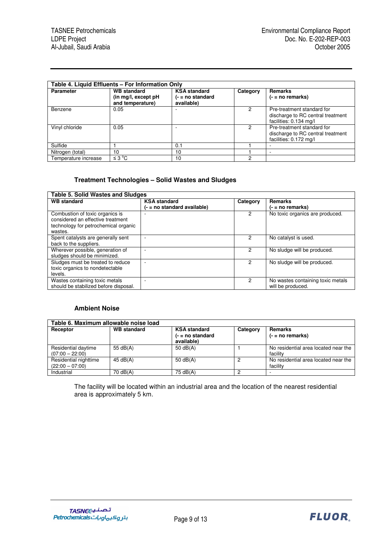| Table 4. Liquid Effluents – For Information Only |                                                               |                                                         |          |                                                                                           |  |  |
|--------------------------------------------------|---------------------------------------------------------------|---------------------------------------------------------|----------|-------------------------------------------------------------------------------------------|--|--|
| <b>Parameter</b>                                 | <b>WB</b> standard<br>(in mg/l, except pH<br>and temperature) | <b>KSA standard</b><br>$(-$ = no standard<br>available) | Category | Remarks<br>$( - = no$ remarks)                                                            |  |  |
| Benzene                                          | 0.05                                                          |                                                         | 2        | Pre-treatment standard for<br>discharge to RC central treatment<br>facilities: 0.134 mg/l |  |  |
| Vinyl chloride                                   | 0.05                                                          |                                                         | 2        | Pre-treatment standard for<br>discharge to RC central treatment<br>facilities: 0.172 mg/l |  |  |
| Sulfide                                          |                                                               | 0.1                                                     |          |                                                                                           |  |  |
| Nitrogen (total)                                 | 10                                                            | 10                                                      |          |                                                                                           |  |  |
| Temperature increase                             | ≤ $3^{\circ}$ C                                               | 10                                                      | 2        |                                                                                           |  |  |

#### **Treatment Technologies – Solid Wastes and Sludges**

| <b>Table 5. Solid Wastes and Sludges</b>                                                                                |                                                    |          |                                                        |  |  |  |
|-------------------------------------------------------------------------------------------------------------------------|----------------------------------------------------|----------|--------------------------------------------------------|--|--|--|
| <b>WB</b> standard                                                                                                      | <b>KSA</b> standard<br>(- = no standard available) | Category | <b>Remarks</b><br>$( - = no$ remarks)                  |  |  |  |
| Combustion of toxic organics is<br>considered an effective treatment<br>technology for petrochemical organic<br>wastes. |                                                    | 2        | No toxic organics are produced.                        |  |  |  |
| Spent catalysts are generally sent<br>back to the suppliers.                                                            |                                                    | 2        | No catalyst is used.                                   |  |  |  |
| Wherever possible, generation of<br>sludges should be minimized.                                                        |                                                    |          | No sludge will be produced.                            |  |  |  |
| Sludges must be treated to reduce<br>toxic organics to nondetectable<br>levels.                                         |                                                    | 2        | No sludge will be produced.                            |  |  |  |
| Wastes containing toxic metals<br>should be stabilized before disposal.                                                 |                                                    | 2        | No wastes containing toxic metals<br>will be produced. |  |  |  |

## **Ambient Noise**

| Table 6. Maximum allowable noise load      |                    |                                                           |          |                                                  |  |  |  |
|--------------------------------------------|--------------------|-----------------------------------------------------------|----------|--------------------------------------------------|--|--|--|
| Receptor                                   | <b>WB</b> standard | <b>KSA standard</b><br>$( - = no standard)$<br>available) | Category | Remarks<br>$(- = no$ remarks)                    |  |  |  |
| Residential daytime<br>$(07:00 - 22:00)$   | 55 $dB(A)$         | 50 $dB(A)$                                                |          | No residential area located near the<br>facility |  |  |  |
| Residential nighttime<br>$(22:00 - 07:00)$ | 45 dB(A)           | 50 $dB(A)$                                                | 2        | No residential area located near the<br>facility |  |  |  |
| Industrial                                 | 70 dB(A)           | 75 dB(A)                                                  | 2        |                                                  |  |  |  |

The facility will be located within an industrial area and the location of the nearest residential area is approximately 5 km.

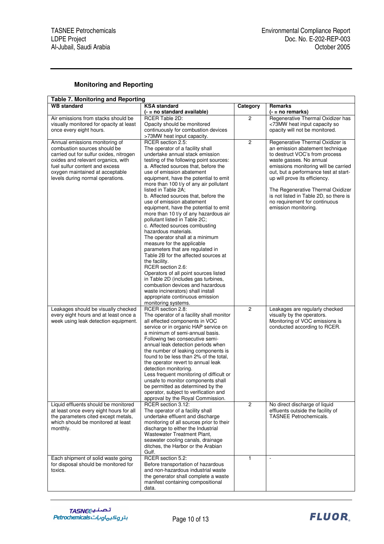## **Monitoring and Reporting**

| <b>Table 7. Monitoring and Reporting</b>                       |                                                                        |                |                                                                    |  |  |  |  |
|----------------------------------------------------------------|------------------------------------------------------------------------|----------------|--------------------------------------------------------------------|--|--|--|--|
| <b>WB</b> standard                                             | <b>KSA standard</b>                                                    | Category       | Remarks                                                            |  |  |  |  |
|                                                                | (- = no standard available)                                            |                | $(- = no$ remarks)                                                 |  |  |  |  |
| Air emissions from stacks should be                            | <b>RCER Table 2D:</b>                                                  | $\overline{2}$ | Regenerative Thermal Oxidizer has                                  |  |  |  |  |
| visually monitored for opacity at least                        | Opacity should be monitored                                            |                | <73MW heat input capacity so                                       |  |  |  |  |
| once every eight hours.                                        | continuously for combustion devices                                    |                | opacity will not be monitored.                                     |  |  |  |  |
|                                                                | >73MW heat input capacity.                                             |                |                                                                    |  |  |  |  |
| Annual emissions monitoring of<br>combustion sources should be | RCER section 2.5:                                                      | $\overline{2}$ | Regenerative Thermal Oxidizer is                                   |  |  |  |  |
| carried out for sulfur oxides, nitrogen                        | The operator of a facility shall<br>undertake annual stack emission    |                | an emission abatement technique<br>to destruct VOC's from process  |  |  |  |  |
| oxides and relevant organics, with                             | testing of the following point sources:                                |                | waste gasses. No annual                                            |  |  |  |  |
| fuel sulfur content and excess                                 | a. Affected sources that, before the                                   |                | emissions monitoring will be carried                               |  |  |  |  |
| oxygen maintained at acceptable                                | use of emission abatement                                              |                | out, but a performance test at start-                              |  |  |  |  |
| levels during normal operations.                               | equipment, have the potential to emit                                  |                | up will prove its efficiency.                                      |  |  |  |  |
|                                                                | more than 100 t/y of any air pollutant                                 |                |                                                                    |  |  |  |  |
|                                                                | listed in Table 2A;                                                    |                | The Regenerative Thermal Oxidizer                                  |  |  |  |  |
|                                                                | b. Affected sources that, before the                                   |                | is not listed in Table 2D, so there is                             |  |  |  |  |
|                                                                | use of emission abatement                                              |                | no requirement for continuous                                      |  |  |  |  |
|                                                                | equipment, have the potential to emit                                  |                | emission monitoring.                                               |  |  |  |  |
|                                                                | more than 10 t/y of any hazardous air                                  |                |                                                                    |  |  |  |  |
|                                                                | pollutant listed in Table 2C;                                          |                |                                                                    |  |  |  |  |
|                                                                | c. Affected sources combusting                                         |                |                                                                    |  |  |  |  |
|                                                                | hazardous materials.                                                   |                |                                                                    |  |  |  |  |
|                                                                | The operator shall at a minimum                                        |                |                                                                    |  |  |  |  |
|                                                                | measure for the applicable<br>parameters that are regulated in         |                |                                                                    |  |  |  |  |
|                                                                | Table 2B for the affected sources at                                   |                |                                                                    |  |  |  |  |
|                                                                | the facility.                                                          |                |                                                                    |  |  |  |  |
|                                                                | RCER section 2.6:                                                      |                |                                                                    |  |  |  |  |
|                                                                | Operators of all point sources listed                                  |                |                                                                    |  |  |  |  |
|                                                                | in Table 2D (includes gas turbines,                                    |                |                                                                    |  |  |  |  |
|                                                                | combustion devices and hazardous                                       |                |                                                                    |  |  |  |  |
|                                                                | waste incinerators) shall install                                      |                |                                                                    |  |  |  |  |
|                                                                | appropriate continuous emission                                        |                |                                                                    |  |  |  |  |
|                                                                | monitoring systems.                                                    |                |                                                                    |  |  |  |  |
| Leakages should be visually checked                            | RCER section 2.8:                                                      | $\overline{2}$ | Leakages are regularly checked                                     |  |  |  |  |
| every eight hours and at least once a                          | The operator of a facility shall monitor                               |                | visually by the operators.                                         |  |  |  |  |
| week using leak detection equipment.                           | all effected components in VOC<br>service or in organic HAP service on |                | Monitoring of VOC emissions is<br>conducted according to RCER.     |  |  |  |  |
|                                                                | a minimum of semi-annual basis.                                        |                |                                                                    |  |  |  |  |
|                                                                | Following two consecutive semi-                                        |                |                                                                    |  |  |  |  |
|                                                                | annual leak detection periods when                                     |                |                                                                    |  |  |  |  |
|                                                                | the number of leaking components is                                    |                |                                                                    |  |  |  |  |
|                                                                | found to be less than 2% of the total,                                 |                |                                                                    |  |  |  |  |
|                                                                | the operator revert to annual leak                                     |                |                                                                    |  |  |  |  |
|                                                                | detection monitoring.                                                  |                |                                                                    |  |  |  |  |
|                                                                | Less frequent monitoring of difficult or                               |                |                                                                    |  |  |  |  |
|                                                                | unsafe to monitor components shall                                     |                |                                                                    |  |  |  |  |
|                                                                | be permitted as determined by the                                      |                |                                                                    |  |  |  |  |
|                                                                | operator, subject to verification and                                  |                |                                                                    |  |  |  |  |
| Liquid effluents should be monitored                           | approval by the Royal Commission.<br>RCER section 3.12:                | $\overline{2}$ |                                                                    |  |  |  |  |
| at least once every eight hours for all                        | The operator of a facility shall                                       |                | No direct discharge of liquid<br>effluents outside the facility of |  |  |  |  |
| the parameters cited except metals,                            | undertake effluent and discharge                                       |                | <b>TASNEE Petrochemicals.</b>                                      |  |  |  |  |
| which should be monitored at least                             | monitoring of all sources prior to their                               |                |                                                                    |  |  |  |  |
| monthly.                                                       | discharge to either the Industrial                                     |                |                                                                    |  |  |  |  |
|                                                                | Wastewater Treatment Plant,                                            |                |                                                                    |  |  |  |  |
|                                                                | seawater cooling canals, drainage                                      |                |                                                                    |  |  |  |  |
|                                                                | ditches, the Harbor or the Arabian                                     |                |                                                                    |  |  |  |  |
|                                                                | Gulf.                                                                  |                |                                                                    |  |  |  |  |
| Each shipment of solid waste going                             | RCER section 5.2:                                                      | $\mathbf{1}$   | $\overline{\phantom{a}}$                                           |  |  |  |  |
| for disposal should be monitored for                           | Before transportation of hazardous                                     |                |                                                                    |  |  |  |  |
| toxics.                                                        | and non-hazardous industrial waste                                     |                |                                                                    |  |  |  |  |
|                                                                | the generator shall complete a waste                                   |                |                                                                    |  |  |  |  |
|                                                                | manifest containing compositional                                      |                |                                                                    |  |  |  |  |
|                                                                | data.                                                                  |                |                                                                    |  |  |  |  |

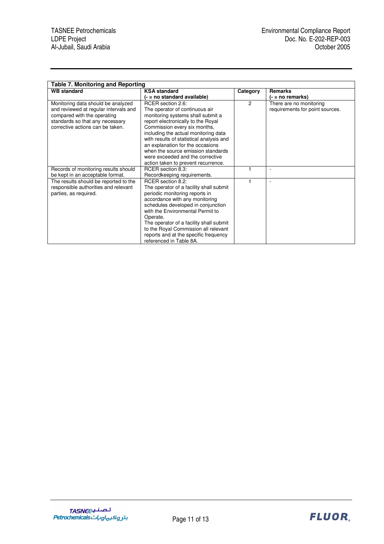| <b>Table 7. Monitoring and Reporting</b>                                                                                                                                          |                                                                                                                                                                                                                                                                                                                                                                                                         |                |                                                            |
|-----------------------------------------------------------------------------------------------------------------------------------------------------------------------------------|---------------------------------------------------------------------------------------------------------------------------------------------------------------------------------------------------------------------------------------------------------------------------------------------------------------------------------------------------------------------------------------------------------|----------------|------------------------------------------------------------|
| <b>WB</b> standard                                                                                                                                                                | <b>KSA</b> standard                                                                                                                                                                                                                                                                                                                                                                                     | Category       | <b>Remarks</b>                                             |
|                                                                                                                                                                                   | (- = no standard available)                                                                                                                                                                                                                                                                                                                                                                             |                | (- = no remarks)                                           |
| Monitoring data should be analyzed<br>and reviewed at regular intervals and<br>compared with the operating<br>standards so that any necessary<br>corrective actions can be taken. | RCER section 2.6:<br>The operator of continuous air<br>monitoring systems shall submit a<br>report electronically to the Royal<br>Commission every six months,<br>including the actual monitoring data<br>with results of statistical analysis and<br>an explanation for the occasions<br>when the source emission standards<br>were exceeded and the corrective<br>action taken to prevent recurrence. | $\overline{2}$ | There are no monitoring<br>requirements for point sources. |
| Records of monitoring results should                                                                                                                                              | RCER section 8.3:                                                                                                                                                                                                                                                                                                                                                                                       |                | ٠                                                          |
| be kept in an acceptable format.                                                                                                                                                  | Recordkeeping requirements.                                                                                                                                                                                                                                                                                                                                                                             |                |                                                            |
| The results should be reported to the<br>responsible authorities and relevant<br>parties, as required.                                                                            | RCER section 8.2:<br>The operator of a facility shall submit<br>periodic monitoring reports in<br>accordance with any monitoring<br>schedules developed in conjunction<br>with the Environmental Permit to<br>Operate.<br>The operator of a facility shall submit<br>to the Royal Commission all relevant<br>reports and at the specific frequency<br>referenced in Table 8A.                           |                | $\overline{\phantom{a}}$                                   |

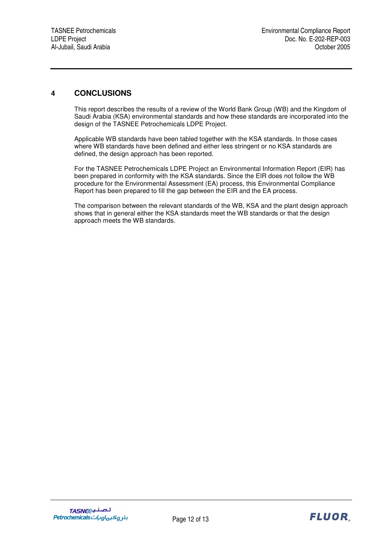## **4 CONCLUSIONS**

This report describes the results of a review of the World Bank Group (WB) and the Kingdom of Saudi Arabia (KSA) environmental standards and how these standards are incorporated into the design of the TASNEE Petrochemicals LDPE Project.

Applicable WB standards have been tabled together with the KSA standards. In those cases where WB standards have been defined and either less stringent or no KSA standards are defined, the design approach has been reported.

For the TASNEE Petrochemicals LDPE Project an Environmental Information Report (EIR) has been prepared in conformity with the KSA standards. Since the EIR does not follow the WB procedure for the Environmental Assessment (EA) process, this Environmental Compliance Report has been prepared to fill the gap between the EIR and the EA process.

The comparison between the relevant standards of the WB, KSA and the plant design approach shows that in general either the KSA standards meet the WB standards or that the design approach meets the WB standards.